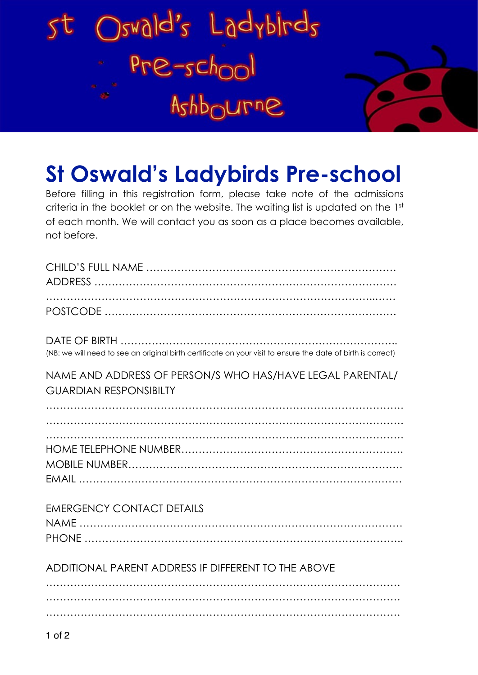



## **St Oswald's Ladybirds Pre-school**

Before filling in this registration form, please take note of the admissions criteria in the booklet or on the website. The waiting list is updated on the 1st of each month. We will contact you as soon as a place becomes available, not before.